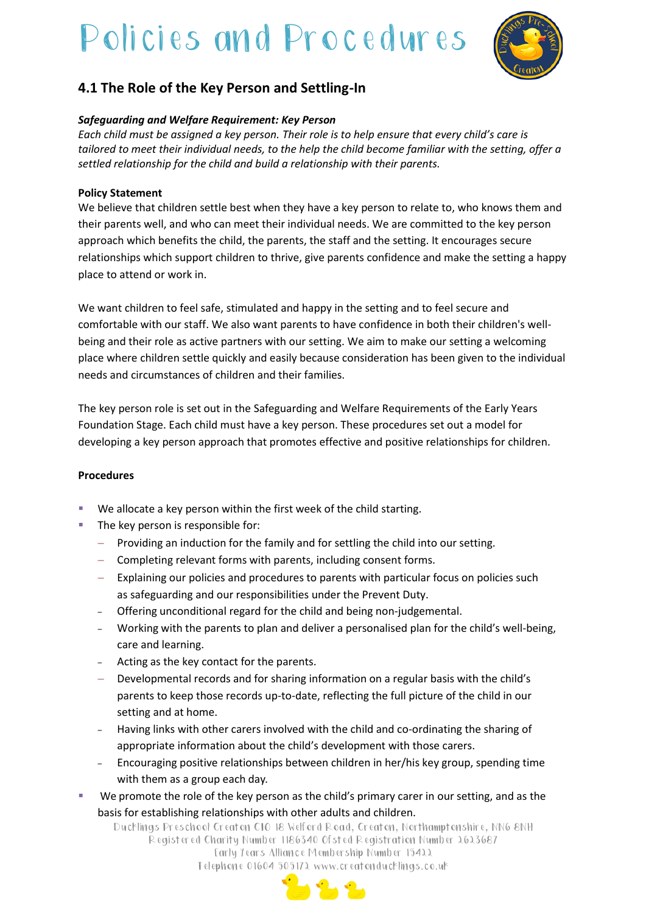# Policies and Procedures



# **4.1 The Role of the Key Person and Settling-In**

### *Safeguarding and Welfare Requirement: Key Person*

*Each child must be assigned a key person. Their role is to help ensure that every child's care is tailored to meet their individual needs, to the help the child become familiar with the setting, offer a settled relationship for the child and build a relationship with their parents.*

#### **Policy Statement**

We believe that children settle best when they have a key person to relate to, who knows them and their parents well, and who can meet their individual needs. We are committed to the key person approach which benefits the child, the parents, the staff and the setting. It encourages secure relationships which support children to thrive, give parents confidence and make the setting a happy place to attend or work in.

We want children to feel safe, stimulated and happy in the setting and to feel secure and comfortable with our staff. We also want parents to have confidence in both their children's wellbeing and their role as active partners with our setting. We aim to make our setting a welcoming place where children settle quickly and easily because consideration has been given to the individual needs and circumstances of children and their families.

The key person role is set out in the Safeguarding and Welfare Requirements of the Early Years Foundation Stage. Each child must have a key person. These procedures set out a model for developing a key person approach that promotes effective and positive relationships for children.

#### **Procedures**

- We allocate a key person within the first week of the child starting.
- The key person is responsible for:
	- − Providing an induction for the family and for settling the child into our setting.
	- − Completing relevant forms with parents, including consent forms.
	- − Explaining our policies and procedures to parents with particular focus on policies such as safeguarding and our responsibilities under the Prevent Duty.
	- ‒ Offering unconditional regard for the child and being non-judgemental.
	- ‒ Working with the parents to plan and deliver a personalised plan for the child's well-being, care and learning.
	- ‒ Acting as the key contact for the parents.
	- − Developmental records and for sharing information on a regular basis with the child's parents to keep those records up-to-date, reflecting the full picture of the child in our setting and at home.
	- ‒ Having links with other carers involved with the child and co-ordinating the sharing of appropriate information about the child's development with those carers.
	- Encouraging positive relationships between children in her/his key group, spending time with them as a group each day.
- We promote the role of the key person as the child's primary carer in our setting, and as the basis for establishing relationships with other adults and children.

Ducklings Preschool Creaton CIO 18 Welford Road, Creaton, Northamptonshire, NN6 8NH Registered Charity Number 1186340 Ofsted Registration Number 2623687 Early Years Alliance Membership Number 15422 Telephone 01604 505172 www.creatonducklings.co.uk

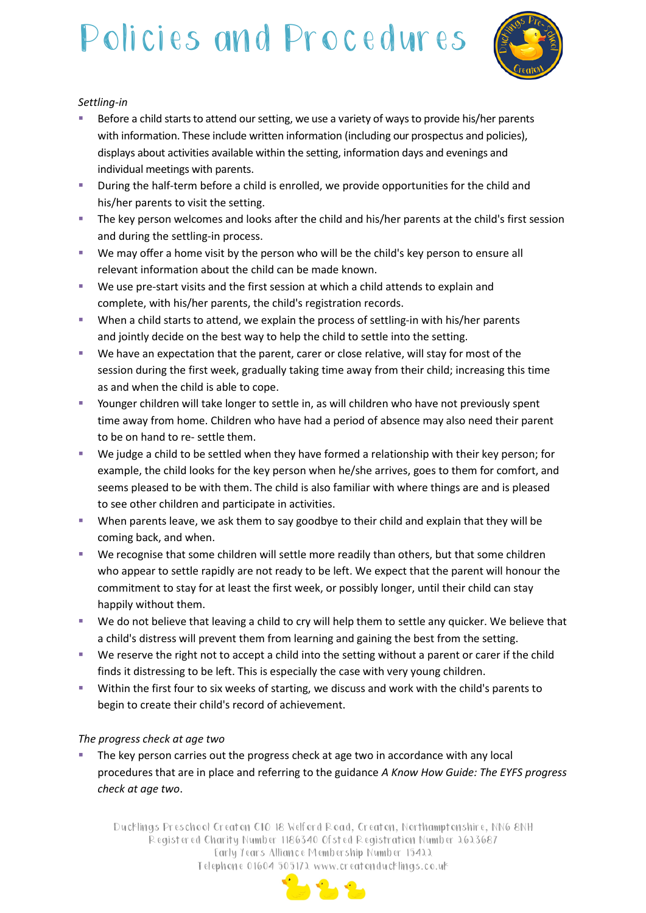# Policies and Procedures



### *Settling-in*

- Before a child starts to attend our setting, we use a variety of ways to provide his/her parents with information. These include written information (including our prospectus and policies), displays about activities available within the setting, information days and evenings and individual meetings with parents.
- **E** During the half-term before a child is enrolled, we provide opportunities for the child and his/her parents to visit the setting.
- **The key person welcomes and looks after the child and his/her parents at the child's first session** and during the settling-in process.
- We may offer a home visit by the person who will be the child's key person to ensure all relevant information about the child can be made known.
- We use pre-start visits and the first session at which a child attends to explain and complete, with his/her parents, the child's registration records.
- **•** When a child starts to attend, we explain the process of settling-in with his/her parents and jointly decide on the best way to help the child to settle into the setting.
- We have an expectation that the parent, carer or close relative, will stay for most of the session during the first week, gradually taking time away from their child; increasing this time as and when the child is able to cope.
- Younger children will take longer to settle in, as will children who have not previously spent time away from home. Children who have had a period of absence may also need their parent to be on hand to re- settle them.
- We judge a child to be settled when they have formed a relationship with their key person; for example, the child looks for the key person when he/she arrives, goes to them for comfort, and seems pleased to be with them. The child is also familiar with where things are and is pleased to see other children and participate in activities.
- When parents leave, we ask them to say goodbye to their child and explain that they will be coming back, and when.
- We recognise that some children will settle more readily than others, but that some children who appear to settle rapidly are not ready to be left. We expect that the parent will honour the commitment to stay for at least the first week, or possibly longer, until their child can stay happily without them.
- We do not believe that leaving a child to cry will help them to settle any quicker. We believe that a child's distress will prevent them from learning and gaining the best from the setting.
- We reserve the right not to accept a child into the setting without a parent or carer if the child finds it distressing to be left. This is especially the case with very young children.
- Within the first four to six weeks of starting, we discuss and work with the child's parents to begin to create their child's record of achievement.

## *The progress check at age two*

The key person carries out the progress check at age two in accordance with any local procedures that are in place and referring to the guidance *A Know How Guide: The EYFS progress check at age two*.

Ducklings Preschool Creaton CIO 18 Welford Road, Creaton, Northamptonshire, NN6 8NH Registered Charity Number 1186340 Ofsted Registration Number 2623687 Early Years Alliance Membership Number 15422 Telephone 01604 505172 www.creatonducklings.co.uk